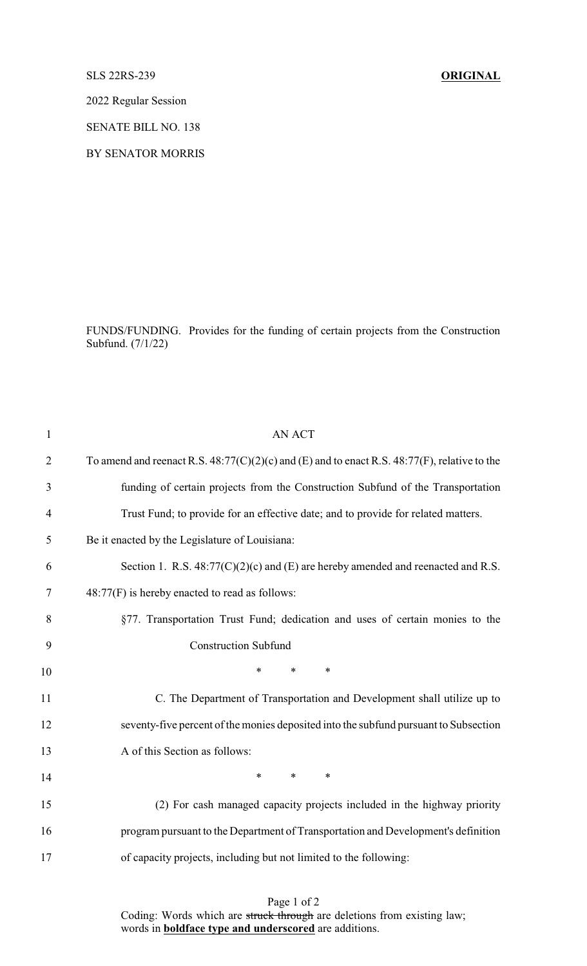## SLS 22RS-239 **ORIGINAL**

2022 Regular Session

SENATE BILL NO. 138

BY SENATOR MORRIS

FUNDS/FUNDING. Provides for the funding of certain projects from the Construction Subfund. (7/1/22)

| $\mathbf{1}$   | <b>AN ACT</b>                                                                                     |
|----------------|---------------------------------------------------------------------------------------------------|
| $\overline{2}$ | To amend and reenact R.S. $48:77(C)(2)(c)$ and (E) and to enact R.S. $48:77(F)$ , relative to the |
| 3              | funding of certain projects from the Construction Subfund of the Transportation                   |
| $\overline{4}$ | Trust Fund; to provide for an effective date; and to provide for related matters.                 |
| 5              | Be it enacted by the Legislature of Louisiana:                                                    |
| 6              | Section 1. R.S. $48:77(C)(2)(c)$ and (E) are hereby amended and reenacted and R.S.                |
| 7              | $48:77(F)$ is hereby enacted to read as follows:                                                  |
| 8              | §77. Transportation Trust Fund; dedication and uses of certain monies to the                      |
| 9              | <b>Construction Subfund</b>                                                                       |
| 10             | *<br>$\ast$<br>$\ast$                                                                             |
| 11             | C. The Department of Transportation and Development shall utilize up to                           |
| 12             | seventy-five percent of the monies deposited into the subfund pursuant to Subsection              |
| 13             | A of this Section as follows:                                                                     |
| 14             | $\ast$<br>$*$ $*$<br>$\ast$                                                                       |
| 15             | (2) For cash managed capacity projects included in the highway priority                           |
| 16             | program pursuant to the Department of Transportation and Development's definition                 |
| 17             | of capacity projects, including but not limited to the following:                                 |
|                |                                                                                                   |

Page 1 of 2 Coding: Words which are struck through are deletions from existing law; words in **boldface type and underscored** are additions.